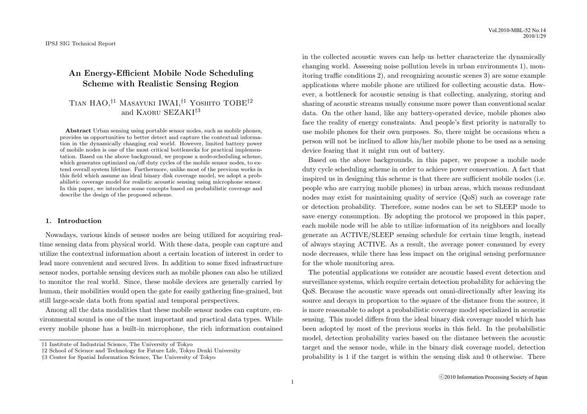# **An Energy-Efficient Mobile Node Scheduling Scheme with Realistic Sensing Region**

# Tian HAO,*†*1 Masayuki IWAI,*†*1 Yoshito TOBE*†*2 and Kaoru SEZAKI*†*<sup>3</sup>

**Abstract** Urban sensing using portable sensor nodes, such as mobile phones, provides us opportunities to better detect and capture the contextual information in the dynamically changing real world. However, limited battery power of mobile nodes is one of the most critical bottlenecks for practical implementation. Based on the above background, we propose a node-scheduling scheme, which generates optimized on/off duty cycles of the mobile sensor nodes, to extend overall system lifetime. Furthermore, unlike most of the previous works in this field which assume an ideal binary disk coverage model, we adopt a probabilistic coverage model for realistic acoustic sensing using microphone sensor. In this paper, we introduce some concepts based on probabilistic coverage and describe the design of the proposed scheme.

#### **1. Introduction**

Nowadays, various kinds of sensor nodes are being utilized for acquiring realtime sensing data from physical world. With these data, people can capture and utilize the contextual information about a certain location of interest in order to lead more convenient and secured lives. In addition to some fixed infrastructure sensor nodes, portable sensing devices such as mobile phones can also be utilized to monitor the real world. Since, these mobile devices are generally carried by human, their mobilities would open the gate for easily gathering fine-grained, but still large-scale data both from spatial and temporal perspectives.

Among all the data modalities that these mobile sensor nodes can capture, environmental sound is one of the most important and practical data types. While every mobile phone has a built-in microphone, the rich information contained

in the collected acoustic waves can help us better characterize the dynamically changing world. Assessing noise pollution levels in urban environments 1), monitoring traffic conditions 2), and recognizing acoustic scenes 3) are some example applications where mobile phone are utilized for collecting acoustic data. However, a bottleneck for acoustic sensing is that collecting, analyzing, storing and sharing of acoustic streams usually consume more power than conventional scalar data. On the other hand, like any battery-operated device, mobile phones also face the reality of energy constraints. And people's first priority is naturally to use mobile phones for their own purposes. So, there might be occasions when a person will not be inclined to allow his/her mobile phone to be used as a sensing device fearing that it might run out of battery.

Based on the above backgrounds, in this paper, we propose a mobile node duty cycle scheduling scheme in order to achieve power conservation. A fact that inspired us in designing this scheme is that there are sufficient mobile nodes (i.e. people who are carrying mobile phones) in urban areas, which means redundant nodes may exist for maintaining quality of service (QoS) such as coverage rate or detection probability. Therefore, some nodes can be set to SLEEP mode to save energy consumption. By adopting the protocol we proposed in this paper, each mobile node will be able to utilize information of its neighbors and locally generate an ACTIVE/SLEEP sensing schedule for certain time length, instead of always staying ACTIVE. As a result, the average power consumed by every node decreases, while there has less impact on the original sensing performance for the whole monitoring area.

The potential applications we consider are acoustic based event detection and surveillance systems, which require certain detection probability for achieving the QoS. Because the acoustic wave spreads out omni-directionally after leaving its source and decays in proportion to the square of the distance from the source, it is more reasonable to adopt a probabilistic coverage model specialized in acoustic sensing. This model differs from the ideal binary disk coverage model which has been adopted by most of the previous works in this field. In the probabilistic model, detection probability varies based on the distance between the acoustic target and the sensor node, while in the binary disk coverage model, detection probability is 1 if the target is within the sensing disk and 0 otherwise. There

*<sup>†</sup>*1 Institute of Industrial Science, The University of Tokyo

*<sup>†</sup>*2 School of Science and Technology for Future Life, Tokyo Denki University

*<sup>†</sup>*3 Center for Spatial Information Science, The University of Tokyo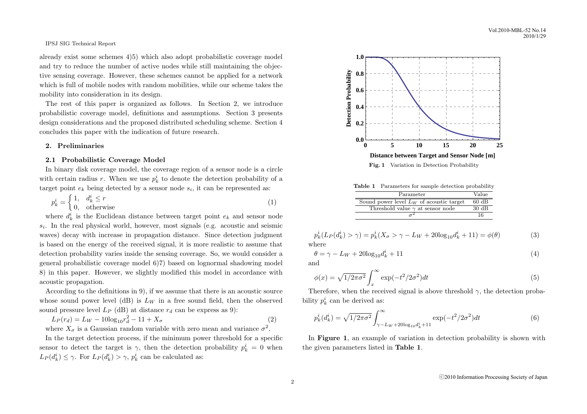already exist some schemes 4)5) which also adopt probabilistic coverage model and try to reduce the number of active nodes while still maintaining the objective sensing coverage. However, these schemes cannot be applied for a network which is full of mobile nodes with random mobilities, while our scheme takes the mobility into consideration in its design.

The rest of this paper is organized as follows. In Section 2, we introduce probabilistic coverage model, definitions and assumptions. Section 3 presents design considerations and the proposed distributed scheduling scheme. Section 4 concludes this paper with the indication of future research.

## **2. Preliminaries**

#### **2.1 Probabilistic Coverage Model**

In binary disk coverage model, the coverage region of a sensor node is a circle with certain radius *r*. When we use  $p_k^i$  to denote the detection probability of a target point  $e_k$  being detected by a sensor node  $s_i$ , it can be represented as:

$$
p_k^i = \begin{cases} 1, & d_k^i \le r \\ 0, & \text{otherwise} \end{cases}
$$
 (1)

where  $d_k^i$  is the Euclidean distance between target point  $e_k$  and sensor node *si* . In the real physical world, however, most signals (e.g. acoustic and seismic waves) decay with increase in propagation distance. Since detection judgment is based on the energy of the received signal, it is more realistic to assume that detection probability varies inside the sensing coverage. So, we would consider a general probabilistic coverage model 6)7) based on lognormal shadowing model 8) in this paper. However, we slightly modified this model in accordance with acoustic propagation.

According to the definitions in 9), if we assume that there is an acoustic source whose sound power level (dB) is  $L_W$  in a free sound field, then the observed sound pressure level  $L_P$  (dB) at distance  $r_d$  can be express as 9):

$$
L_P(r_d) = L_W - 10\log_{10} r_d^2 - 11 + X_\sigma \tag{2}
$$

where  $X_{\sigma}$  is a Gaussian random variable with zero mean and variance  $\sigma^2$ .

In the target detection process, if the minimum power threshold for a specific sensor to detect the target is  $\gamma$ , then the detection probability  $p_k^i = 0$  when  $L_P(d_k^i) \leq \gamma$ . For  $L_P(d_k^i) > \gamma$ ,  $p_k^i$  can be calculated as:



**Table 1** Parameters for sample detection probability

| Parameter                                  | Value           |
|--------------------------------------------|-----------------|
| Sound power level $L_W$ of acoustic target | 60 dB           |
| Threshold value $\gamma$ at sensor node    | $30 \text{ dB}$ |
|                                            | 16              |

$$
p_k^i(L_P(d_k^i) > \gamma) = p_k^i(X_{\sigma} > \gamma - L_W + 20\log_{10} d_k^i + 11) = \phi(\theta)
$$
\n(3)

\nhora

where

$$
\theta = \gamma - L_W + 20\log_{10}d_k^i + 11\tag{4}
$$

and

$$
\phi(x) = \sqrt{1/2\pi\sigma^2} \int_x^{\infty} \exp(-t^2/2\sigma^2) dt
$$
\n(5)

Therefore, when the received signal is above threshold  $\gamma$ , the detection probability  $p_k^i$  can be derived as:

$$
p_k^i(d_k^i) = \sqrt{1/2\pi\sigma^2} \int_{\gamma - L_W + 20\log_{10} d_k^i + 11}^{\infty} \exp(-t^2/2\sigma^2) dt
$$
 (6)

In **Figure 1**, an example of variation in detection probability is shown with the given parameters listed in **Table 1**.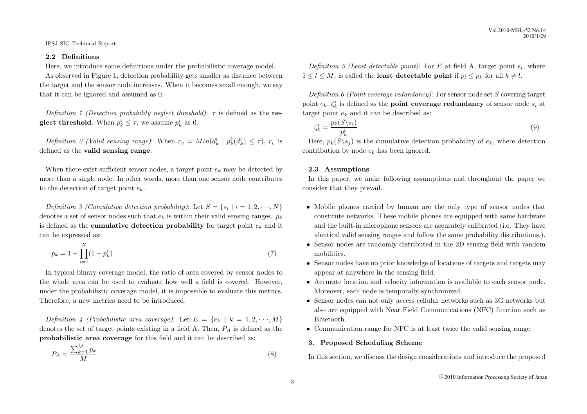## **2.2 Definitions**

Here, we introduce some definitions under the probabilistic coverage model.

As observed in Figure 1, detection probability gets smaller as distance between the target and the sensor node increases. When it becomes small enough, we say that it can be ignored and assumed as 0.

*Definition 1 (Detection probability neglect threshold)*: *τ* is defined as the **neglect threshold**. When  $p_k^i \leq \tau$ , we assume  $p_k^i$  as 0.

*Definition 2 (Valid sensing range):* When  $r_v = Min(d_k^i | p_k^i(d_k^i) \leq \tau)$ ,  $r_v$  is defined as the **valid sensing range**.

When there exist sufficient sensor nodes, a target point  $e_k$  may be detected by more than a single node. In other words, more than one sensor node contributes to the detection of target point *ek*.

*Definition 3 (Cumulative detection probability):* Let  $S = \{s_i \mid i = 1, 2, \dots, N\}$ denotes a set of sensor nodes such that  $e_k$  is within their valid sensing ranges.  $p_k$ is defined as the **cumulative detection probability** for target point  $e_k$  and it can be expressed as:

$$
p_k = 1 - \prod_{i=1}^{N} (1 - p_k^i)
$$
\n<sup>(7)</sup>

In typical binary coverage model, the ratio of area covered by sensor nodes to the whole area can be used to evaluate how well a field is covered. However, under the probabilistic coverage model, it is impossible to evaluate this metrics. Therefore, a new metrics need to be introduced.

*Definition 4 (Probabilistic area coverage):* Let  $E = \{e_k | k = 1, 2, \dots, M\}$ denotes the set of target points existing in a field A. Then, *P<sup>A</sup>* is defined as the **probabilistic area coverage** for this field and it can be described as:

$$
P_A = \frac{\sum_{k=1}^{M} p_k}{M} \tag{8}
$$

*Definition 5 (Least detectable point)*: For  $E$  at field A, target point  $e_l$ , where  $1 \leq l \leq M$ , is called the **least detectable point** if  $p_l \leq p_k$  for all  $k \neq l$ .

*Definition 6 (Point coverage redundancy)*: For sensor node set *S* covering target point  $e_k$ ,  $\zeta_k^i$  is defined as the **point coverage redundancy** of sensor node  $s_i$  at target point  $e_k$  and it can be described as:

$$
\zeta_k^i = \frac{p_k(S \backslash s_i)}{p_k^i} \tag{9}
$$

Here,  $p_k(S \mid s_i)$  is the cumulative detection probability of  $e_k$ , where detection contribution by node *e<sup>k</sup>* has been ignored.

#### **2.3 Assumptions**

In this paper, we make following assumptions and throughout the paper we consider that they prevail.

- *•* Mobile phones carried by human are the only type of sensor nodes that constitute networks. These mobile phones are equipped with same hardware and the built-in microphone sensors are accurately calibrated (i.e. They have identical valid sensing ranges and follow the same probability distributions.).
- *•* Sensor nodes are randomly distributed in the 2D sensing field with random mobilities.
- Sensor nodes have no prior knowledge of locations of targets and targets may appear at anywhere in the sensing field.
- Accurate location and velocity information is available to each sensor node. Moreover, each node is temporally synchronized.
- *•* Sensor nodes can not only access cellular networks such as 3G networks but also are equipped with Near Field Communications (NFC) function such as Bluetooth.
- Communication range for NFC is at least twice the valid sensing range.

# **3. Proposed Scheduling Scheme**

In this section, we discuss the design considerations and introduce the proposed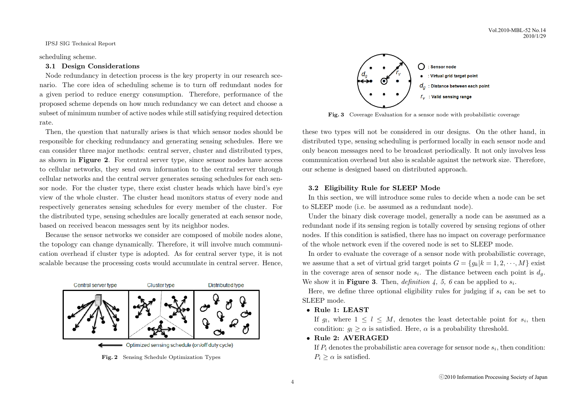scheduling scheme.

# **3.1 Design Considerations**

Node redundancy in detection process is the key property in our research scenario. The core idea of scheduling scheme is to turn off redundant nodes for a given period to reduce energy consumption. Therefore, performance of the proposed scheme depends on how much redundancy we can detect and choose a subset of minimum number of active nodes while still satisfying required detection rate.

Then, the question that naturally arises is that which sensor nodes should be responsible for checking redundancy and generating sensing schedules. Here we can consider three major methods: central server, cluster and distributed types, as shown in **Figure 2**. For central server type, since sensor nodes have access to cellular networks, they send own information to the central server through cellular networks and the central server generates sensing schedules for each sensor node. For the cluster type, there exist cluster heads which have bird's eye view of the whole cluster. The cluster head monitors status of every node and respectively generates sensing schedules for every member of the cluster. For the distributed type, sensing schedules are locally generated at each sensor node, based on received beacon messages sent by its neighbor nodes.

Because the sensor networks we consider are composed of mobile nodes alone, the topology can change dynamically. Therefore, it will involve much communication overhead if cluster type is adopted. As for central server type, it is not scalable because the processing costs would accumulate in central server. Hence,



**Fig. 2** Sensing Schedule Optimization Types



**Fig. 3** Coverage Evaluation for a sensor node with probabilistic coverage

these two types will not be considered in our designs. On the other hand, in distributed type, sensing scheduling is performed locally in each sensor node and only beacon messages need to be broadcast periodically. It not only involves less communication overhead but also is scalable against the network size. Therefore, our scheme is designed based on distributed approach.

# **3.2 Eligibility Rule for SLEEP Mode**

In this section, we will introduce some rules to decide when a node can be set to SLEEP mode (i.e. be assumed as a redundant node).

Under the binary disk coverage model, generally a node can be assumed as a redundant node if its sensing region is totally covered by sensing regions of other nodes. If this condition is satisfied, there has no impact on coverage performance of the whole network even if the covered node is set to SLEEP mode.

In order to evaluate the coverage of a sensor node with probabilistic coverage, we assume that a set of virtual grid target points  $G = \{g_k | k = 1, 2, \dots, M\}$  exist in the coverage area of sensor node  $s_i$ . The distance between each point is  $d_g$ . We show it in **Figure 3**. Then, *definition* 4, 5, 6 can be applied to  $s_i$ .

Here, we define three optional eligibility rules for judging if *s<sup>i</sup>* can be set to SLEEP mode.

*•* **Rule 1: LEAST**

If  $g_l$ , where  $1 \leq l \leq M$ , denotes the least detectable point for  $s_i$ , then condition:  $g_l \geq \alpha$  is satisfied. Here,  $\alpha$  is a probability threshold.

*•* **Rule 2: AVERAGED**

If *P<sup>i</sup>* denotes the probabilistic area coverage for sensor node *s<sup>i</sup>* , then condition:  $P_i \geq \alpha$  is satisfied.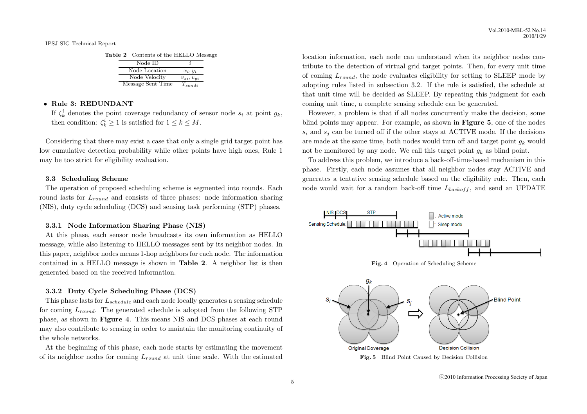| Node ID           |                  |
|-------------------|------------------|
| Node Location     | $x_i, y_i$       |
| Node Velocity     | $v_{xi}, v_{ui}$ |
| Message Sent Time | $T_{sendi}$      |

# *•* **Rule 3: REDUNDANT**

If  $\zeta_k^i$  denotes the point coverage redundancy of sensor node  $s_i$  at point  $g_k$ , then condition:  $\zeta_k^i \geq 1$  is satisfied for  $1 \leq k \leq M$ .

Considering that there may exist a case that only a single grid target point has low cumulative detection probability while other points have high ones, Rule 1 may be too strict for eligibility evaluation.

#### **3.3 Scheduling Scheme**

The operation of proposed scheduling scheme is segmented into rounds. Each round lasts for  $L_{round}$  and consists of three phases: node information sharing (NIS), duty cycle scheduling (DCS) and sensing task performing (STP) phases.

#### **3.3.1 Node Information Sharing Phase (NIS)**

At this phase, each sensor node broadcasts its own information as HELLO message, while also listening to HELLO messages sent by its neighbor nodes. In this paper, neighbor nodes means 1-hop neighbors for each node. The information contained in a HELLO message is shown in **Table 2**. A neighbor list is then generated based on the received information.

#### **3.3.2 Duty Cycle Scheduling Phase (DCS)**

This phase lasts for *Lschedule* and each node locally generates a sensing schedule for coming *Lround*. The generated schedule is adopted from the following STP phase, as shown in **Figure 4**. This means NIS and DCS phases at each round may also contribute to sensing in order to maintain the monitoring continuity of the whole networks.

At the beginning of this phase, each node starts by estimating the movement of its neighbor nodes for coming *Lround* at unit time scale. With the estimated

location information, each node can understand when its neighbor nodes contribute to the detection of virtual grid target points. Then, for every unit time of coming *Lround*, the node evaluates eligibility for setting to SLEEP mode by adopting rules listed in subsection 3.2. If the rule is satisfied, the schedule at that unit time will be decided as SLEEP. By repeating this judgment for each coming unit time, a complete sensing schedule can be generated.

However, a problem is that if all nodes concurrently make the decision, some blind points may appear. For example, as shown in **Figure 5**, one of the nodes  $s_i$  and  $s_j$  can be turned off if the other stays at ACTIVE mode. If the decisions are made at the same time, both nodes would turn off and target point  $q_k$  would not be monitored by any node. We call this target point  $g_k$  as blind point.

To address this problem, we introduce a back-off-time-based mechanism in this phase. Firstly, each node assumes that all neighbor nodes stay ACTIVE and generates a tentative sensing schedule based on the eligibility rule. Then, each node would wait for a random back-off time *Lbackof f* , and send an UPDATE





ⓒ2010 Information Processing Society of Japan